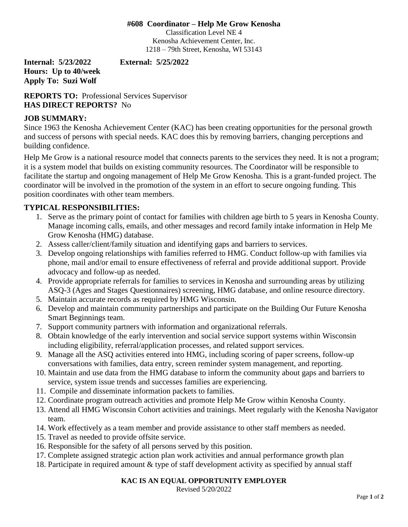### **#608 Coordinator – Help Me Grow Kenosha**

Classification Level NE 4 Kenosha Achievement Center, Inc. 1218 – 79th Street, Kenosha, WI 53143

**Hours: Up to 40/week Apply To: Suzi Wolf**

**Internal: 5/23/2022 External: 5/25/2022**

**REPORTS TO:** Professional Services Supervisor **HAS DIRECT REPORTS?** No

### **JOB SUMMARY:**

Since 1963 the Kenosha Achievement Center (KAC) has been creating opportunities for the personal growth and success of persons with special needs. KAC does this by removing barriers, changing perceptions and building confidence.

Help Me Grow is a national resource model that connects parents to the services they need. It is not a program; it is a system model that builds on existing community resources. The Coordinator will be responsible to facilitate the startup and ongoing management of Help Me Grow Kenosha. This is a grant-funded project. The coordinator will be involved in the promotion of the system in an effort to secure ongoing funding. This position coordinates with other team members.

# **TYPICAL RESPONSIBILITIES:**

- 1. Serve as the primary point of contact for families with children age birth to 5 years in Kenosha County. Manage incoming calls, emails, and other messages and record family intake information in Help Me Grow Kenosha (HMG) database.
- 2. Assess caller/client/family situation and identifying gaps and barriers to services.
- 3. Develop ongoing relationships with families referred to HMG. Conduct follow-up with families via phone, mail and/or email to ensure effectiveness of referral and provide additional support. Provide advocacy and follow-up as needed.
- 4. Provide appropriate referrals for families to services in Kenosha and surrounding areas by utilizing ASQ-3 (Ages and Stages Questionnaires) screening, HMG database, and online resource directory.
- 5. Maintain accurate records as required by HMG Wisconsin.
- 6. Develop and maintain community partnerships and participate on the Building Our Future Kenosha Smart Beginnings team.
- 7. Support community partners with information and organizational referrals.
- 8. Obtain knowledge of the early intervention and social service support systems within Wisconsin including eligibility, referral/application processes, and related support services.
- 9. Manage all the ASQ activities entered into HMG, including scoring of paper screens, follow-up conversations with families, data entry, screen reminder system management, and reporting.
- 10. Maintain and use data from the HMG database to inform the community about gaps and barriers to service, system issue trends and successes families are experiencing.
- 11. Compile and disseminate information packets to families.
- 12. Coordinate program outreach activities and promote Help Me Grow within Kenosha County.
- 13. Attend all HMG Wisconsin Cohort activities and trainings. Meet regularly with the Kenosha Navigator team.
- 14. Work effectively as a team member and provide assistance to other staff members as needed.
- 15. Travel as needed to provide offsite service.
- 16. Responsible for the safety of all persons served by this position.
- 17. Complete assigned strategic action plan work activities and annual performance growth plan
- 18. Participate in required amount & type of staff development activity as specified by annual staff

# **KAC IS AN EQUAL OPPORTUNITY EMPLOYER**

Revised 5/20/2022